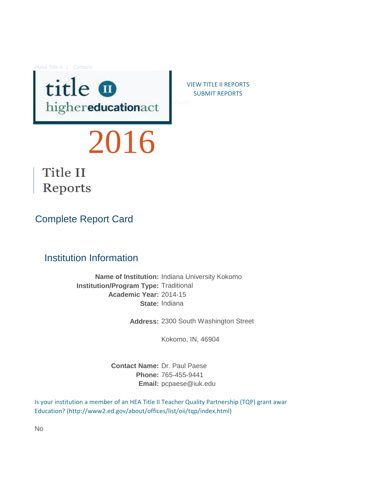About Title II | Contacts



VIEW TITLE II REPORTS [S](https://title2.ed.gov/Public/Login.aspx)UBMIT REPORTS

# 2016



# Complete Report Card

#### Institution Information

**Name of Institution:** Indiana University Kokomo **Institution/Program Type:** Traditional **Academic Year:** 2014-15 **State:** Indiana

**Address:** 2300 South Washington Street

Kokomo, IN, 46904

**Contact Name:** Dr. Paul Paese **Phone:** 765-455-9441 **Email:** pcpaese@iuk.edu

[Is your institution a member of an HEA Title II](http://www2.ed.gov/about/offices/list/oii/tqp/index.html) Teacher Quality Partnership (TQP) grant awar [Education? \(http://www2.ed.gov/about/office](http://www2.ed.gov/about/offices/list/oii/tqp/index.html)s/list/oii/tqp/index.html)

No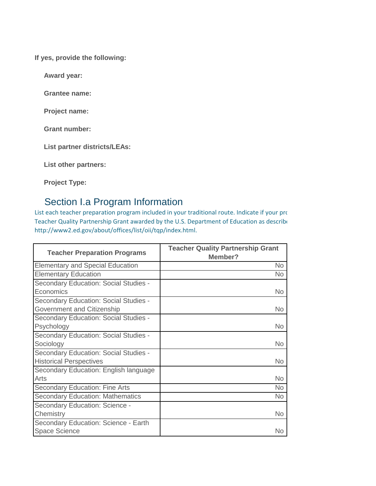**If yes, provide the following:**

**Award year:**

**Grantee name:**

**Project name:**

**Grant number:**

**List partner districts/LEAs:**

**List other partners:**

**Project Type:**

# Section I.a Program Information

[List each teacher preparation program include](http://www2.ed.gov/about/offices/list/oii/tqp/index.html)d in your traditional route. Indicate if your program [Teacher Quality Partnership Grant awarded b](http://www2.ed.gov/about/offices/list/oii/tqp/index.html)y the U.S. Department of Education as describe [http://www2.ed.gov/about/offices/list/oii/tq](http://www2.ed.gov/about/offices/list/oii/tqp/index.html)p/index.html.

| <b>Teacher Preparation Programs</b>     | <b>Teacher Quality Partnership Grant</b><br>Member? |
|-----------------------------------------|-----------------------------------------------------|
| <b>Elementary and Special Education</b> | No                                                  |
| <b>Elementary Education</b>             | <b>No</b>                                           |
| Secondary Education: Social Studies -   |                                                     |
| Economics                               | No.                                                 |
| Secondary Education: Social Studies -   |                                                     |
| Government and Citizenship              | <b>No</b>                                           |
| Secondary Education: Social Studies -   |                                                     |
| Psychology                              | <b>No</b>                                           |
| Secondary Education: Social Studies -   |                                                     |
| Sociology                               | <b>No</b>                                           |
| Secondary Education: Social Studies -   |                                                     |
| <b>Historical Perspectives</b>          | <b>No</b>                                           |
| Secondary Education: English language   |                                                     |
| Arts                                    | <b>No</b>                                           |
| <b>Secondary Education: Fine Arts</b>   | <b>No</b>                                           |
| <b>Secondary Education: Mathematics</b> | <b>No</b>                                           |
| Secondary Education: Science -          |                                                     |
| Chemistry                               | <b>No</b>                                           |
| Secondary Education: Science - Earth    |                                                     |
| <b>Space Science</b>                    | No                                                  |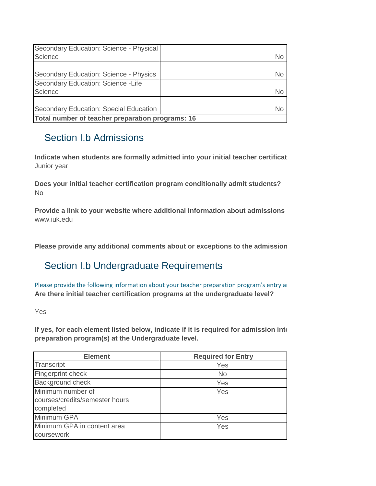| Secondary Education: Science - Physical<br>Science | No |
|----------------------------------------------------|----|
| Secondary Education: Science - Physics             | No |
| Secondary Education: Science - Life<br>Science     | No |
| Secondary Education: Special Education             | N٥ |
| Total number of teacher preparation programs: 16   |    |

# Section I.b Admissions

Indicate when students are formally admitted into your initial teacher certificat Junior year

**Does your initial teacher certification program conditionally admit students?** No

www.iuk.edu **Provide a link to your website where additional information about admissions** 

Please provide any additional comments about or exceptions to the admission

# Section I.b Undergraduate Requirements

**Are there initial teacher certification programs at the undergraduate level?** [Please provide the following information abou](http://frwebgate.access.gpo.gov/cgi-bin/getdoc.cgi?dbname=110_cong_public_laws&docid=f:publ315.110.pdf)t your teacher preparation program's entry and exit requirements.

Yes

If yes, for each element listed below, indicate if it is required for admission into **preparation program(s) at the Undergraduate level.**

| <b>Element</b>                                                   | <b>Required for Entry</b> |
|------------------------------------------------------------------|---------------------------|
| Transcript                                                       | Yes                       |
| Fingerprint check                                                | <b>No</b>                 |
| <b>Background check</b>                                          | Yes                       |
| Minimum number of<br>courses/credits/semester hours<br>completed | Yes                       |
| Minimum GPA                                                      | Yes                       |
| Minimum GPA in content area<br>coursework                        | Yes                       |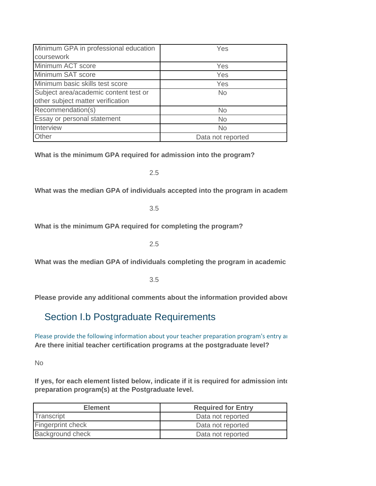| Minimum GPA in professional education | Yes               |
|---------------------------------------|-------------------|
| coursework                            |                   |
| Minimum ACT score                     | Yes               |
| Minimum SAT score                     | Yes               |
| Minimum basic skills test score       | Yes               |
| Subject area/academic content test or | <b>No</b>         |
| other subject matter verification     |                   |
| Recommendation(s)                     | <b>No</b>         |
| Essay or personal statement           | <b>No</b>         |
| <b>Interview</b>                      | <b>No</b>         |
| Other                                 | Data not reported |

**What is the minimum GPA required for admission into the program?**

2.5

What was the median GPA of individuals accepted into the program in academ

3.5

**What is the minimum GPA required for completing the program?**

2.5

What was the median GPA of individuals completing the program in academic

3.5

**Please provide any additional comments about the information provided above:**

## Section I.b Postgraduate Requirements

**Are there initial teacher certification programs at the postgraduate level?** [Please provide the following information abou](http://frwebgate.access.gpo.gov/cgi-bin/getdoc.cgi?dbname=110_cong_public_laws&docid=f:publ315.110.pdf)t your teacher preparation program's entry and exit requirements.

No

If yes, for each element listed below, indicate if it is required for admission into **preparation program(s) at the Postgraduate level.**

| <b>Element</b>           | <b>Required for Entry</b> |
|--------------------------|---------------------------|
| Transcript               | Data not reported         |
| <b>Fingerprint check</b> | Data not reported         |
| <b>Background check</b>  | Data not reported         |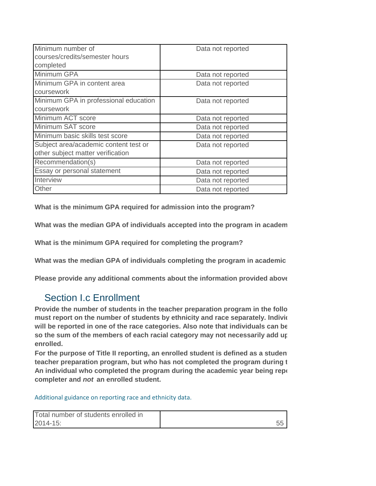| Minimum number of                     | Data not reported |
|---------------------------------------|-------------------|
| courses/credits/semester hours        |                   |
| completed                             |                   |
| Minimum GPA                           | Data not reported |
| Minimum GPA in content area           | Data not reported |
| coursework                            |                   |
| Minimum GPA in professional education | Data not reported |
| coursework                            |                   |
| Minimum ACT score                     | Data not reported |
| Minimum SAT score                     | Data not reported |
| Minimum basic skills test score       | Data not reported |
| Subject area/academic content test or | Data not reported |
| other subject matter verification     |                   |
| Recommendation(s)                     | Data not reported |
| Essay or personal statement           | Data not reported |
| Interview                             | Data not reported |
| Other                                 | Data not reported |

**What is the minimum GPA required for admission into the program?**

What was the median GPA of individuals accepted into the program in academ

**What is the minimum GPA required for completing the program?**

What was the median GPA of individuals completing the program in academic

**Please provide any additional comments about the information provided above:**

## Section I.c Enrollment

Provide the number of students in the teacher preparation program in the follo must report on the number of students by ethnicity and race separately. Individe will be reported in one of the race categories. Also note that individuals can be so the sum of the members of each racial category may not necessarily add up **enrolled.**

For the purpose of Title II reporting, an enrolled student is defined as a studen **teacher preparation program, but who has not completed the program during the academic statemic year act being t** An individual who completed the program during the academic year being repo **completer and** *not* **an enrolled student.**

[Additional guidance on reporting race and ethnicity data.](https://title2.ed.gov/Public/TA/Race_ethnicity.pdf)

| Total number of students enrolled in |  |
|--------------------------------------|--|
| 2014-15:                             |  |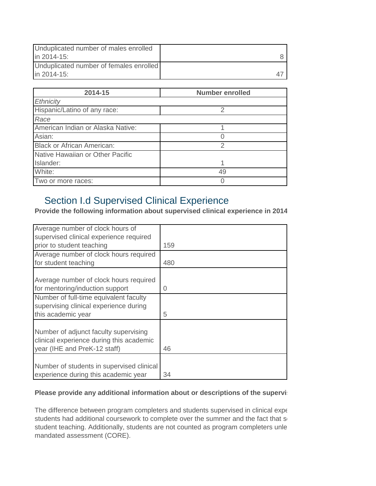| Unduplicated number of males enrolled<br>in 2014-15: |  |
|------------------------------------------------------|--|
| Unduplicated number of females enrolled              |  |
| in 2014-15:                                          |  |

| 2014-15                           | <b>Number enrolled</b> |
|-----------------------------------|------------------------|
| Ethnicity                         |                        |
| Hispanic/Latino of any race:      | 2                      |
| Race                              |                        |
| American Indian or Alaska Native: |                        |
| Asian:                            |                        |
| <b>Black or African American:</b> | $\mathcal{P}$          |
| Native Hawaiian or Other Pacific  |                        |
| Islander:                         |                        |
| White:                            | 49                     |
| Two or more races:                |                        |

# Section I.d Supervised Clinical Experience

Provide the following information about supervised clinical experience in 2014

| Average number of clock hours of          |     |
|-------------------------------------------|-----|
| supervised clinical experience required   |     |
| prior to student teaching                 | 159 |
| Average number of clock hours required    |     |
| for student teaching                      | 480 |
|                                           |     |
| Average number of clock hours required    |     |
| for mentoring/induction support           | 0   |
| Number of full-time equivalent faculty    |     |
| supervising clinical experience during    |     |
| this academic year                        | 5   |
|                                           |     |
| Number of adjunct faculty supervising     |     |
| clinical experience during this academic  |     |
| year (IHE and PreK-12 staff)              | 46  |
|                                           |     |
| Number of students in supervised clinical |     |
| experience during this academic year      | 34  |

#### Please provide any additional information about or descriptions of the supervistion

The difference between program completers and students supervised in clinical experience students had additional coursework to complete over the summer and the fact that so student teaching. Additionally, students are not counted as program completers unle mandated assessment (CORE).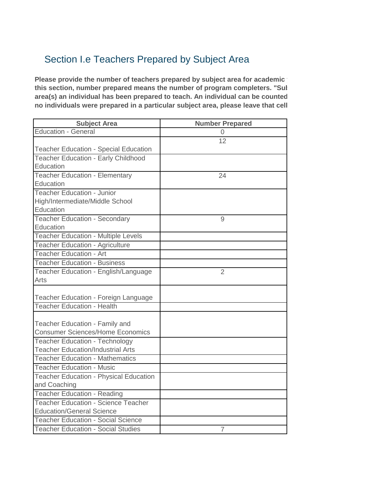# Section I.e Teachers Prepared by Subject Area

**Please provide the number of teachers prepared by subject area for academic** this section, number prepared means the number of program completers. "Sul area(s) an individual has been prepared to teach. An individual can be counted **no individuals were prepared in a particular subject area, please leave that cell blank. (§205(b)(1)(H))**

| <b>Subject Area</b>                                                       | <b>Number Prepared</b> |
|---------------------------------------------------------------------------|------------------------|
| <b>Education - General</b>                                                | 0                      |
|                                                                           | 12                     |
| <b>Teacher Education - Special Education</b>                              |                        |
| <b>Teacher Education - Early Childhood</b>                                |                        |
| Education                                                                 |                        |
| <b>Teacher Education - Elementary</b>                                     | 24                     |
| Education                                                                 |                        |
| <b>Teacher Education - Junior</b>                                         |                        |
| High/Intermediate/Middle School                                           |                        |
| Education                                                                 |                        |
| <b>Teacher Education - Secondary</b>                                      | 9                      |
| Education                                                                 |                        |
| <b>Teacher Education - Multiple Levels</b>                                |                        |
| <b>Teacher Education - Agriculture</b>                                    |                        |
| <b>Teacher Education - Art</b>                                            |                        |
| <b>Teacher Education - Business</b>                                       |                        |
| Teacher Education - English/Language                                      | $\overline{2}$         |
| Arts                                                                      |                        |
|                                                                           |                        |
| Teacher Education - Foreign Language                                      |                        |
| <b>Teacher Education - Health</b>                                         |                        |
|                                                                           |                        |
| Teacher Education - Family and<br><b>Consumer Sciences/Home Economics</b> |                        |
| <b>Teacher Education - Technology</b>                                     |                        |
| <b>Teacher Education/Industrial Arts</b>                                  |                        |
| <b>Teacher Education - Mathematics</b>                                    |                        |
| <b>Teacher Education - Music</b>                                          |                        |
|                                                                           |                        |
| <b>Teacher Education - Physical Education</b>                             |                        |
| and Coaching<br><b>Teacher Education - Reading</b>                        |                        |
| <b>Teacher Education - Science Teacher</b>                                |                        |
| <b>Education/General Science</b>                                          |                        |
| <b>Teacher Education - Social Science</b>                                 |                        |
| <b>Teacher Education - Social Studies</b>                                 | $\overline{7}$         |
|                                                                           |                        |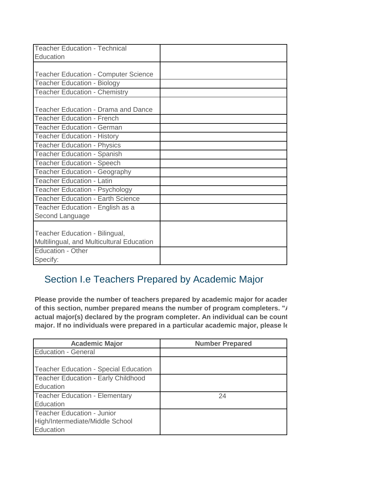| <b>Teacher Education - Technical</b>        |  |
|---------------------------------------------|--|
| Education                                   |  |
|                                             |  |
| <b>Teacher Education - Computer Science</b> |  |
| <b>Teacher Education - Biology</b>          |  |
| <b>Teacher Education - Chemistry</b>        |  |
| Teacher Education - Drama and Dance         |  |
|                                             |  |
| <b>Teacher Education - French</b>           |  |
| <b>Teacher Education - German</b>           |  |
| <b>Teacher Education - History</b>          |  |
| <b>Teacher Education - Physics</b>          |  |
| <b>Teacher Education - Spanish</b>          |  |
| <b>Teacher Education - Speech</b>           |  |
| <b>Teacher Education - Geography</b>        |  |
| <b>Teacher Education - Latin</b>            |  |
| <b>Teacher Education - Psychology</b>       |  |
| <b>Teacher Education - Earth Science</b>    |  |
| Teacher Education - English as a            |  |
| Second Language                             |  |
|                                             |  |
| Teacher Education - Bilingual,              |  |
| Multilingual, and Multicultural Education   |  |
| Education - Other                           |  |
| Specify:                                    |  |

# Section I.e Teachers Prepared by Academic Major

Please provide the number of teachers prepared by academic major for acader of this section, number prepared means the number of program completers. "*I* actual major(s) declared by the program completer. An individual can be count major. If no individuals were prepared in a particular academic major, please It

| <b>Academic Major</b>                                                      | <b>Number Prepared</b> |
|----------------------------------------------------------------------------|------------------------|
| <b>Education - General</b>                                                 |                        |
| Teacher Education - Special Education                                      |                        |
| Teacher Education - Early Childhood<br>Education                           |                        |
| <b>Teacher Education - Elementary</b><br>Education                         | 24                     |
| Teacher Education - Junior<br>High/Intermediate/Middle School<br>Education |                        |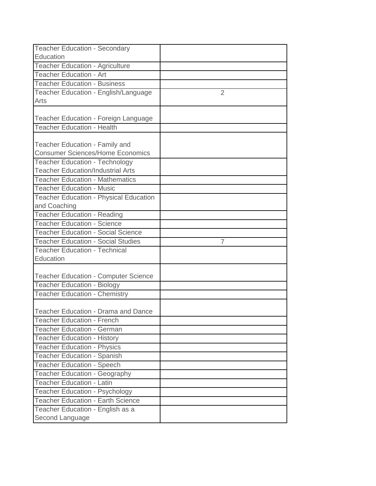| <b>Teacher Education - Secondary</b>                                              |   |
|-----------------------------------------------------------------------------------|---|
| Education                                                                         |   |
| <b>Teacher Education - Agriculture</b>                                            |   |
| <b>Teacher Education - Art</b>                                                    |   |
| <b>Teacher Education - Business</b>                                               |   |
| Teacher Education - English/Language                                              | 2 |
| Arts                                                                              |   |
|                                                                                   |   |
| Teacher Education - Foreign Language                                              |   |
| <b>Teacher Education - Health</b>                                                 |   |
|                                                                                   |   |
| <b>Teacher Education - Family and</b><br><b>Consumer Sciences/Home Economics</b>  |   |
|                                                                                   |   |
| <b>Teacher Education - Technology</b><br><b>Teacher Education/Industrial Arts</b> |   |
| <b>Teacher Education - Mathematics</b>                                            |   |
| <b>Teacher Education - Music</b>                                                  |   |
| <b>Teacher Education - Physical Education</b>                                     |   |
| and Coaching                                                                      |   |
| <b>Teacher Education - Reading</b>                                                |   |
| <b>Teacher Education - Science</b>                                                |   |
| <b>Teacher Education - Social Science</b>                                         |   |
| <b>Teacher Education - Social Studies</b>                                         | 7 |
| <b>Teacher Education - Technical</b>                                              |   |
| Education                                                                         |   |
|                                                                                   |   |
| <b>Teacher Education - Computer Science</b>                                       |   |
| <b>Teacher Education - Biology</b>                                                |   |
| <b>Teacher Education - Chemistry</b>                                              |   |
|                                                                                   |   |
| <b>Teacher Education - Drama and Dance</b>                                        |   |
| <b>Teacher Education - French</b>                                                 |   |
| <b>Teacher Education - German</b>                                                 |   |
| <b>Teacher Education - History</b>                                                |   |
| <b>Teacher Education - Physics</b>                                                |   |
| <b>Teacher Education - Spanish</b>                                                |   |
| <b>Teacher Education - Speech</b>                                                 |   |
| Teacher Education - Geography                                                     |   |
| <b>Teacher Education - Latin</b>                                                  |   |
| <b>Teacher Education - Psychology</b>                                             |   |
| <b>Teacher Education - Earth Science</b>                                          |   |
| Teacher Education - English as a                                                  |   |
| Second Language                                                                   |   |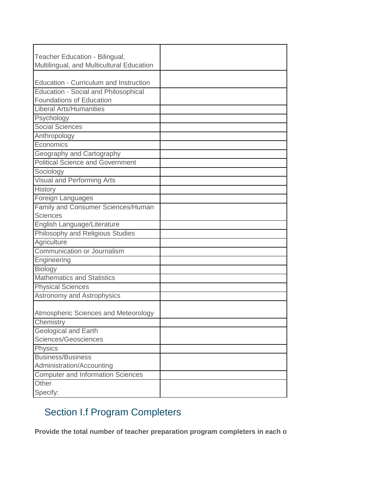| Teacher Education - Bilingual,              |  |
|---------------------------------------------|--|
| Multilingual, and Multicultural Education   |  |
|                                             |  |
| Education - Curriculum and Instruction      |  |
| <b>Education - Social and Philosophical</b> |  |
| <b>Foundations of Education</b>             |  |
| <b>Liberal Arts/Humanities</b>              |  |
| Psychology                                  |  |
| <b>Social Sciences</b>                      |  |
| Anthropology                                |  |
| Economics                                   |  |
| Geography and Cartography                   |  |
| <b>Political Science and Government</b>     |  |
| Sociology                                   |  |
| Visual and Performing Arts                  |  |
| History                                     |  |
| Foreign Languages                           |  |
| Family and Consumer Sciences/Human          |  |
| <b>Sciences</b>                             |  |
| English Language/Literature                 |  |
| Philosophy and Religious Studies            |  |
| Agriculture                                 |  |
| Communication or Journalism                 |  |
| Engineering                                 |  |
| <b>Biology</b>                              |  |
| <b>Mathematics and Statistics</b>           |  |
| <b>Physical Sciences</b>                    |  |
| Astronomy and Astrophysics                  |  |
|                                             |  |
| Atmospheric Sciences and Meteorology        |  |
| Chemistry                                   |  |
| <b>Geological and Earth</b>                 |  |
| Sciences/Geosciences                        |  |
| Physics                                     |  |
| <b>Business/Business</b>                    |  |
| Administration/Accounting                   |  |
| <b>Computer and Information Sciences</b>    |  |
| Other                                       |  |
| Specify:                                    |  |

# Section I.f Program Completers

Provide the total number of teacher preparation program completers in each of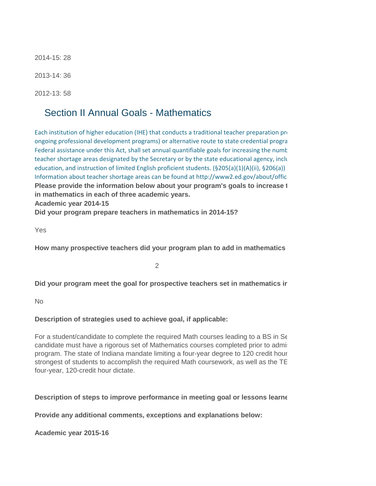2014-15: 28

2013-14: 36

2012-13: 58

#### Section II Annual Goals - Mathematics

Information about teacher shortage areas can be found at http://www2.ed.gov/about/offic **Academic year 2014-15** [Each institution of higher education \(IHE\) that](http://frwebgate.access.gpo.gov/cgi-bin/getdoc.cgi?dbname=110_cong_public_laws&docid=f:publ315.110.pdf) conducts a traditional teacher preparation program [ongoing professional development programs\)](http://frwebgate.access.gpo.gov/cgi-bin/getdoc.cgi?dbname=110_cong_public_laws&docid=f:publ315.110.pdf) or alternative route to state credential progra [Federal assistance under this Act, shall set ann](http://frwebgate.access.gpo.gov/cgi-bin/getdoc.cgi?dbname=110_cong_public_laws&docid=f:publ315.110.pdf)ual quantifiable goals for increasing the number [teacher shortage areas designated by the Secr](http://frwebgate.access.gpo.gov/cgi-bin/getdoc.cgi?dbname=110_cong_public_laws&docid=f:publ315.110.pdf)etary or by the state educational agency, including mathematics, science, specialist, specialist, specialist, specialist, specialist, specialist, specialist, specialist, special [education, and instruction of limited English p](http://frwebgate.access.gpo.gov/cgi-bin/getdoc.cgi?dbname=110_cong_public_laws&docid=f:publ315.110.pdf)roficient students. (§205(a)(1)(A)(ii), §206(a)) **Please provide the information below about your program's goals to increase 1 in mathematics in each of three academic years.**

**Did your program prepare teachers in mathematics in 2014-15?**

Yes

How many prospective teachers did your program plan to add in mathematics

2

Did your program meet the goal for prospective teachers set in mathematics ir

No

**Description of strategies used to achieve goal, if applicable:**

For a student/candidate to complete the required Math courses leading to a BS in Secondary candidate must have a rigorous set of Mathematics courses completed prior to admistional program. The state of Indiana mandate limiting a four-year degree to 120 credit hour strongest of students to accomplish the required Math coursework, as well as the TE four-year, 120-credit hour dictate.

**Description of steps to improve performance in meeting goal or lessons learned in meeting goal** 

**Provide any additional comments, exceptions and explanations below:**

**Academic year 2015-16**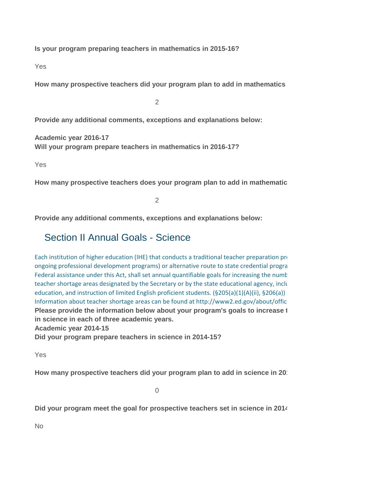**Is your program preparing teachers in mathematics in 2015-16?**

Yes

How many prospective teachers did your program plan to add in mathematics

 $\mathfrak{D}$ 

**Provide any additional comments, exceptions and explanations below:**

**Academic year 2016-17 Will your program prepare teachers in mathematics in 2016-17?**

Yes

How many prospective teachers does your program plan to add in mathematic

 $\overline{2}$ 

**Provide any additional comments, exceptions and explanations below:**

#### Section II Annual Goals - Science

Information about teacher shortage areas can be found at http://www2.ed.gov/about/offic [Each institution of higher education \(IHE\) that](http://frwebgate.access.gpo.gov/cgi-bin/getdoc.cgi?dbname=110_cong_public_laws&docid=f:publ315.110.pdf) conducts a traditional teacher preparation programs that of  $\mathbf{r}$ [ongoing professional development programs\)](http://frwebgate.access.gpo.gov/cgi-bin/getdoc.cgi?dbname=110_cong_public_laws&docid=f:publ315.110.pdf) or alternative route to state credential progra [Federal assistance under this Act, shall set ann](http://frwebgate.access.gpo.gov/cgi-bin/getdoc.cgi?dbname=110_cong_public_laws&docid=f:publ315.110.pdf)ual quantifiable goals for increasing the number [teacher shortage areas designated by the Secr](http://frwebgate.access.gpo.gov/cgi-bin/getdoc.cgi?dbname=110_cong_public_laws&docid=f:publ315.110.pdf)etary or by the state educational agency, including mathematics, science, specialist, specialist, specialist, specialist, specialist, specialist, specialist, specialist, special [education, and instruction of limited English p](http://frwebgate.access.gpo.gov/cgi-bin/getdoc.cgi?dbname=110_cong_public_laws&docid=f:publ315.110.pdf)roficient students. (§205(a)(1)(A)(ii), §206(a)) **Please provide the information below about your program's goals to increase 1 in science in each of three academic years.**

**Academic year 2014-15**

**Did your program prepare teachers in science in 2014-15?**

Yes

How many prospective teachers did your program plan to add in science in 20<sup>th</sup>

0

Did your program meet the goal for prospective teachers set in science in 2014

No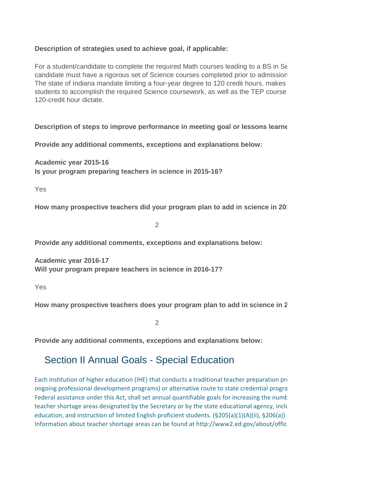#### **Description of strategies used to achieve goal, if applicable:**

For a student/candidate to complete the required Math courses leading to a BS in Secondary candidate must have a rigorous set of Science courses completed prior to admission The state of Indiana mandate limiting a four-year degree to 120 credit hours, makes students to accomplish the required Science coursework, as well as the TEP course 120-credit hour dictate.

**Description of steps to improve performance in meeting goal or lessons learned in meeting goal** 

**Provide any additional comments, exceptions and explanations below:**

**Academic year 2015-16 Is your program preparing teachers in science in 2015-16?**

Yes

How many prospective teachers did your program plan to add in science in 20<sup>th</sup>

2

**Provide any additional comments, exceptions and explanations below:**

**Academic year 2016-17 Will your program prepare teachers in science in 2016-17?**

Yes

How many prospective teachers does your program plan to add in science in 2

 $\mathfrak{D}$ 

**Provide any additional comments, exceptions and explanations below:**

## Section II Annual Goals - Special Education

Information about teacher shortage areas can be found at http://www2.ed.gov/about/offic [Each institution of higher education \(IHE\) that](http://frwebgate.access.gpo.gov/cgi-bin/getdoc.cgi?dbname=110_cong_public_laws&docid=f:publ315.110.pdf) conducts a traditional teacher preparation programs that of  $\mathbf{r}$ [ongoing professional development programs\)](http://frwebgate.access.gpo.gov/cgi-bin/getdoc.cgi?dbname=110_cong_public_laws&docid=f:publ315.110.pdf) or alternative route to state credential program [Federal assistance under this Act, shall set ann](http://frwebgate.access.gpo.gov/cgi-bin/getdoc.cgi?dbname=110_cong_public_laws&docid=f:publ315.110.pdf)ual quantifiable goals for increasing the numt [teacher shortage areas designated by the Secr](http://frwebgate.access.gpo.gov/cgi-bin/getdoc.cgi?dbname=110_cong_public_laws&docid=f:publ315.110.pdf)etary or by the state educational agency, including mathematics, so [education, and instruction of limited English p](http://frwebgate.access.gpo.gov/cgi-bin/getdoc.cgi?dbname=110_cong_public_laws&docid=f:publ315.110.pdf)roficient students. (§205(a)(1)(A)(ii), §206(a))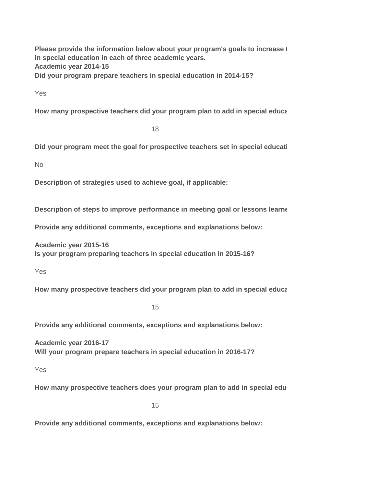**Academic year 2014-15 Did your program prepare teachers in special education in 2014-15? Please provide the information below about your program's goals to increase 1 in special education in each of three academic years.**

Yes

How many prospective teachers did your program plan to add in special educa

18

Did your program meet the goal for prospective teachers set in special education

No

**Description of strategies used to achieve goal, if applicable:**

**Description of steps to improve performance in meeting goal or lessons learned in meeting goal** 

**Provide any additional comments, exceptions and explanations below:**

**Academic year 2015-16 Is your program preparing teachers in special education in 2015-16?**

Yes

How many prospective teachers did your program plan to add in special educa

15

**Provide any additional comments, exceptions and explanations below:**

**Academic year 2016-17 Will your program prepare teachers in special education in 2016-17?**

Yes

How many prospective teachers does your program plan to add in special edu

15

**Provide any additional comments, exceptions and explanations below:**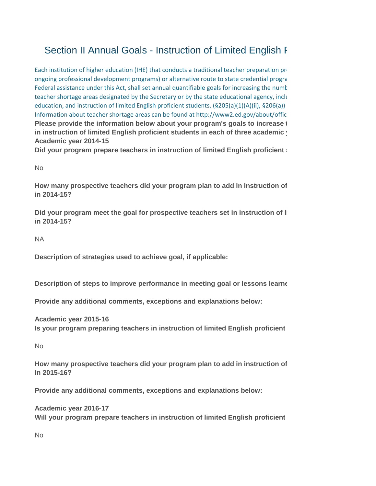# Section II Annual Goals - Instruction of Limited English F

Information about teacher shortage areas can be found at http://www2.ed.gov/about/offic **Academic year 2014-15** [Each institution of higher education \(IHE\) that](http://frwebgate.access.gpo.gov/cgi-bin/getdoc.cgi?dbname=110_cong_public_laws&docid=f:publ315.110.pdf) conducts a traditional teacher preparation programs that of  $\mathbf{r}$ [ongoing professional development programs\)](http://frwebgate.access.gpo.gov/cgi-bin/getdoc.cgi?dbname=110_cong_public_laws&docid=f:publ315.110.pdf) or alternative route to state credential program [Federal assistance under this Act, shall set ann](http://frwebgate.access.gpo.gov/cgi-bin/getdoc.cgi?dbname=110_cong_public_laws&docid=f:publ315.110.pdf)ual quantifiable goals for increasing the number [teacher shortage areas designated by the Secr](http://frwebgate.access.gpo.gov/cgi-bin/getdoc.cgi?dbname=110_cong_public_laws&docid=f:publ315.110.pdf)etary or by the state educational agency, including mathematics, science, specialism [education, and instruction of limited English p](http://frwebgate.access.gpo.gov/cgi-bin/getdoc.cgi?dbname=110_cong_public_laws&docid=f:publ315.110.pdf)roficient students. (§205(a)(1)(A)(ii), §206(a)) **Please provide the information below about your program's goals to increase 1** in instruction of limited English proficient students in each of three academic **v** 

**Did your program prepare teachers in instruction of limited English proficient :** 

No

How many prospective teachers did your program plan to add in instruction of **in 2014-15?**

Did your program meet the goal for prospective teachers set in instruction of li **in 2014-15?**

NA

**Description of strategies used to achieve goal, if applicable:**

**Description of steps to improve performance in meeting goal or lessons learned in meeting goal** 

**Provide any additional comments, exceptions and explanations below:**

**Academic year 2015-16 Is your program preparing teachers in instruction of limited English proficient** 

No

How many prospective teachers did your program plan to add in instruction of **in 2015-16?**

**Provide any additional comments, exceptions and explanations below:**

**Academic year 2016-17** Will your program prepare teachers in instruction of limited English proficient

No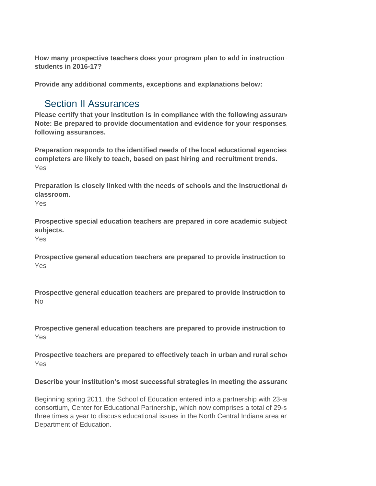How many prospective teachers does your program plan to add in instruction **students in 2016-17?**

**Provide any additional comments, exceptions and explanations below:**

## Section II Assurances

**Please certify that your institution is in compliance with the following assurand Note: Be prepared to provide documentation and evidence for your responses. following assurances.**

Yes **Preparation responds to the identified needs of the local educational agencies completers are likely to teach, based on past hiring and recruitment trends.**

**Preparation is closely linked with the needs of schools and the instructional declassroom.** 

Yes

Prospective special education teachers are prepared in core academic subject **subjects.**

Yes

Yes Prospective general education teachers are prepared to provide instruction to

No **Prospective general education teachers are prepared to provide instruction to** 

Yes Prospective general education teachers are prepared to provide instruction to

Prospective teachers are prepared to effectively teach in urban and rural school Yes

#### Describe your institution's most successful strategies in meeting the assurand

Beginning spring 2011, the School of Education entered into a partnership with 23-are consortium, Center for Educational Partnership, which now comprises a total of 29-s three times a year to discuss educational issues in the North Central Indiana area and Department of Education.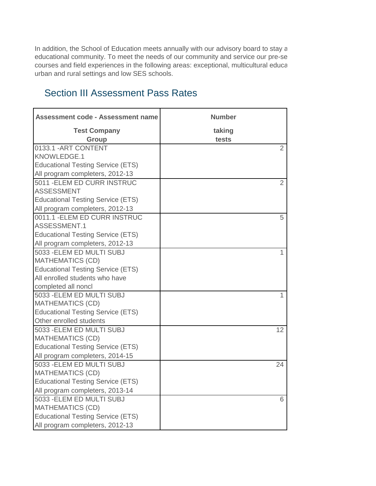In addition, the School of Education meets annually with our advisory board to stay a educational community. To meet the needs of our community and service our pre-se courses and field experiences in the following areas: exceptional, multicultural education, growing Hispanic populations, growing Hispanic populations, growing Hispanic populations, growing Hispanic populations, growing an urban and rural settings and low SES schools.

#### **Assessment code - Assessment name Number Test Company taking Group tests** 0133.1 -ART CONTENT KNOWLEDGE.1 Educational Testing Service (ETS) All program completers, 2012-13 5011 -ELEM ED CURR INSTRUC ASSESSMENT Educational Testing Service (ETS) All program completers, 2012-13 0011.1 -ELEM ED CURR INSTRUC ASSESSMENT.1 Educational Testing Service (ETS) All program completers, 2012-13 5033 -ELEM ED MULTI SUBJ MATHEMATICS (CD) Educational Testing Service (ETS) All enrolled students who have completed all noncl 5033 -ELEM ED MULTI SUBJ MATHEMATICS (CD) Educational Testing Service (ETS) Other enrolled students 5033 -ELEM ED MULTI SUBJ MATHEMATICS (CD) Educational Testing Service (ETS) All program completers, 2014-15 5033 -ELEM ED MULTI SUBJ MATHEMATICS (CD) Educational Testing Service (ETS) All program completers, 2013-14 5033 -ELEM ED MULTI SUBJ MATHEMATICS (CD) Educational Testing Service (ETS) All program completers, 2012-13 6 12 24 1 1 2 5 2

# Section III Assessment Pass Rates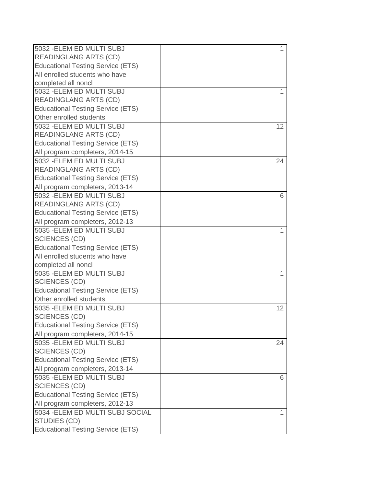| 5032 - ELEM ED MULTI SUBJ                | $\mathbf{1}$ |
|------------------------------------------|--------------|
| <b>READINGLANG ARTS (CD)</b>             |              |
| <b>Educational Testing Service (ETS)</b> |              |
| All enrolled students who have           |              |
| completed all noncl                      |              |
| 5032 - ELEM ED MULTI SUBJ                |              |
| <b>READINGLANG ARTS (CD)</b>             |              |
| <b>Educational Testing Service (ETS)</b> |              |
| Other enrolled students                  |              |
| 5032 - ELEM ED MULTI SUBJ                | 12           |
| <b>READINGLANG ARTS (CD)</b>             |              |
| <b>Educational Testing Service (ETS)</b> |              |
| All program completers, 2014-15          |              |
| 5032 - ELEM ED MULTI SUBJ                | 24           |
| <b>READINGLANG ARTS (CD)</b>             |              |
| <b>Educational Testing Service (ETS)</b> |              |
| All program completers, 2013-14          |              |
| 5032 - ELEM ED MULTI SUBJ                | 6            |
| <b>READINGLANG ARTS (CD)</b>             |              |
| <b>Educational Testing Service (ETS)</b> |              |
| All program completers, 2012-13          |              |
| 5035 - ELEM ED MULTI SUBJ                |              |
| <b>SCIENCES (CD)</b>                     |              |
| <b>Educational Testing Service (ETS)</b> |              |
| All enrolled students who have           |              |
| completed all noncl                      |              |
| 5035 - ELEM ED MULTI SUBJ                | 1            |
| <b>SCIENCES (CD)</b>                     |              |
| <b>Educational Testing Service (ETS)</b> |              |
| Other enrolled students                  |              |
| 5035 - ELEM ED MULTI SUBJ                | 12           |
| <b>SCIENCES (CD)</b>                     |              |
| <b>Educational Testing Service (ETS)</b> |              |
| All program completers, 2014-15          |              |
| 5035 - ELEM ED MULTI SUBJ                | 24           |
| <b>SCIENCES (CD)</b>                     |              |
| <b>Educational Testing Service (ETS)</b> |              |
| All program completers, 2013-14          |              |
| 5035 - ELEM ED MULTI SUBJ                | 6            |
| <b>SCIENCES (CD)</b>                     |              |
| <b>Educational Testing Service (ETS)</b> |              |
| All program completers, 2012-13          |              |
| 5034 - ELEM ED MULTI SUBJ SOCIAL         |              |
| <b>STUDIES (CD)</b>                      |              |
| <b>Educational Testing Service (ETS)</b> |              |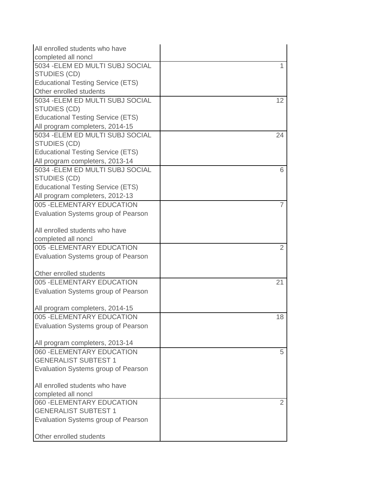| All enrolled students who have                   |                |
|--------------------------------------------------|----------------|
| completed all noncl                              |                |
| 5034 - ELEM ED MULTI SUBJ SOCIAL                 | 1              |
| <b>STUDIES (CD)</b>                              |                |
| <b>Educational Testing Service (ETS)</b>         |                |
| Other enrolled students                          |                |
| 5034 - ELEM ED MULTI SUBJ SOCIAL                 | 12             |
| <b>STUDIES (CD)</b>                              |                |
| <b>Educational Testing Service (ETS)</b>         |                |
| All program completers, 2014-15                  |                |
| 5034 - ELEM ED MULTI SUBJ SOCIAL                 | 24             |
| <b>STUDIES (CD)</b>                              |                |
| <b>Educational Testing Service (ETS)</b>         |                |
| All program completers, 2013-14                  |                |
| 5034 - ELEM ED MULTI SUBJ SOCIAL<br>STUDIES (CD) | 6              |
| <b>Educational Testing Service (ETS)</b>         |                |
| All program completers, 2012-13                  |                |
| 005 - ELEMENTARY EDUCATION                       | $\overline{7}$ |
| Evaluation Systems group of Pearson              |                |
|                                                  |                |
| All enrolled students who have                   |                |
| completed all noncl                              |                |
| 005 - ELEMENTARY EDUCATION                       | $\overline{2}$ |
| Evaluation Systems group of Pearson              |                |
|                                                  |                |
| Other enrolled students                          |                |
| 005 - ELEMENTARY EDUCATION                       | 21             |
| Evaluation Systems group of Pearson              |                |
|                                                  |                |
| All program completers, 2014-15                  |                |
| 005 - ELEMENTARY EDUCATION                       | 18             |
| Evaluation Systems group of Pearson              |                |
|                                                  |                |
| All program completers, 2013-14                  |                |
| 060 - ELEMENTARY EDUCATION                       | 5              |
| <b>GENERALIST SUBTEST 1</b>                      |                |
| Evaluation Systems group of Pearson              |                |
|                                                  |                |
| All enrolled students who have                   |                |
| completed all noncl                              |                |
| 060 - ELEMENTARY EDUCATION                       | 2              |
| <b>GENERALIST SUBTEST 1</b>                      |                |
| Evaluation Systems group of Pearson              |                |
|                                                  |                |
| Other enrolled students                          |                |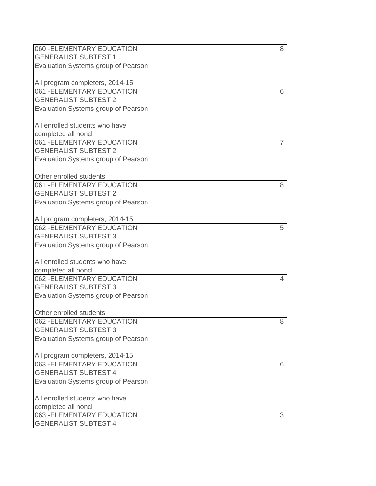| 060 - ELEMENTARY EDUCATION          | 8 |
|-------------------------------------|---|
| <b>GENERALIST SUBTEST 1</b>         |   |
| Evaluation Systems group of Pearson |   |
|                                     |   |
| All program completers, 2014-15     |   |
| 061 - ELEMENTARY EDUCATION          | 6 |
| <b>GENERALIST SUBTEST 2</b>         |   |
| Evaluation Systems group of Pearson |   |
|                                     |   |
| All enrolled students who have      |   |
| completed all noncl                 |   |
| 061 - ELEMENTARY EDUCATION          |   |
| <b>GENERALIST SUBTEST 2</b>         |   |
| Evaluation Systems group of Pearson |   |
|                                     |   |
| Other enrolled students             |   |
| 061 - ELEMENTARY EDUCATION          | 8 |
| <b>GENERALIST SUBTEST 2</b>         |   |
| Evaluation Systems group of Pearson |   |
|                                     |   |
| All program completers, 2014-15     |   |
| 062 - ELEMENTARY EDUCATION          | 5 |
| <b>GENERALIST SUBTEST 3</b>         |   |
| Evaluation Systems group of Pearson |   |
|                                     |   |
| All enrolled students who have      |   |
| completed all noncl                 |   |
| 062 - ELEMENTARY EDUCATION          | 4 |
| <b>GENERALIST SUBTEST 3</b>         |   |
| Evaluation Systems group of Pearson |   |
|                                     |   |
| Other enrolled students             |   |
| 062 - ELEMENTARY EDUCATION          | 8 |
| <b>GENERALIST SUBTEST 3</b>         |   |
| Evaluation Systems group of Pearson |   |
|                                     |   |
| All program completers, 2014-15     |   |
| 063 - ELEMENTARY EDUCATION          | 6 |
| <b>GENERALIST SUBTEST 4</b>         |   |
| Evaluation Systems group of Pearson |   |
|                                     |   |
| All enrolled students who have      |   |
| completed all noncl                 |   |
| 063 - ELEMENTARY EDUCATION          | 3 |
| <b>GENERALIST SUBTEST 4</b>         |   |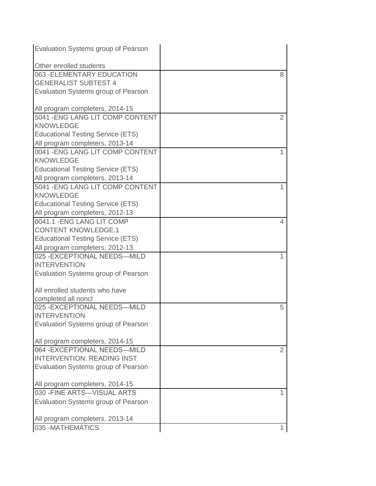| Evaluation Systems group of Pearson                  |                |
|------------------------------------------------------|----------------|
| Other enrolled students                              |                |
| 063 - ELEMENTARY EDUCATION                           | 8              |
| <b>GENERALIST SUBTEST 4</b>                          |                |
| Evaluation Systems group of Pearson                  |                |
| All program completers, 2014-15                      |                |
| 5041 - ENG LANG LIT COMP CONTENT                     | $\overline{2}$ |
| <b>KNOWLEDGE</b>                                     |                |
| <b>Educational Testing Service (ETS)</b>             |                |
| All program completers, 2013-14                      |                |
| 0041 - ENG LANG LIT COMP CONTENT<br><b>KNOWLEDGE</b> | 1              |
| <b>Educational Testing Service (ETS)</b>             |                |
| All program completers, 2013-14                      |                |
| 5041 - ENG LANG LIT COMP CONTENT                     | 1              |
| <b>KNOWLEDGE</b>                                     |                |
| <b>Educational Testing Service (ETS)</b>             |                |
| All program completers, 2012-13                      |                |
| 0041.1 - ENG LANG LIT COMP                           | 4              |
| <b>CONTENT KNOWLEDGE.1</b>                           |                |
| <b>Educational Testing Service (ETS)</b>             |                |
| All program completers, 2012-13                      |                |
| 025 - EXCEPTIONAL NEEDS-MILD                         | 1              |
| <b>INTERVENTION</b>                                  |                |
| Evaluation Systems group of Pearson                  |                |
| All enrolled students who have                       |                |
| completed all noncl                                  |                |
| 025 - EXCEPTIONAL NEEDS-MILD                         | 5              |
| <b>INTERVENTION</b>                                  |                |
| Evaluation Systems group of Pearson                  |                |
| All program completers, 2014-15                      |                |
| 064 - EXCEPTIONAL NEEDS-MILD                         | 2              |
| <b>INTERVENTION: READING INST</b>                    |                |
| Evaluation Systems group of Pearson                  |                |
| All program completers, 2014-15                      |                |
| 030 - FINE ARTS-VISUAL ARTS                          | 1              |
| Evaluation Systems group of Pearson                  |                |
| All program completers, 2013-14                      |                |
| 035 - MATHEMATICS                                    | 1              |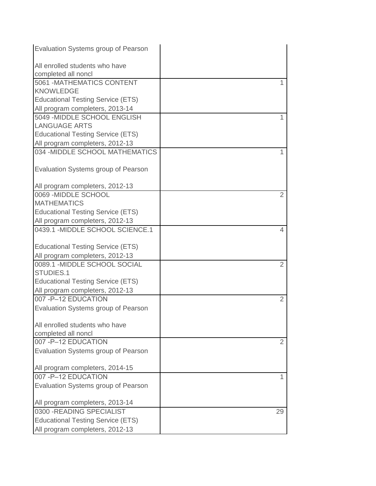| Evaluation Systems group of Pearson                                |                |
|--------------------------------------------------------------------|----------------|
| All enrolled students who have<br>completed all noncl              |                |
| 5061 - MATHEMATICS CONTENT                                         |                |
| <b>KNOWLEDGE</b>                                                   |                |
| <b>Educational Testing Service (ETS)</b>                           |                |
| All program completers, 2013-14                                    |                |
| 5049 - MIDDLE SCHOOL ENGLISH                                       |                |
| <b>LANGUAGE ARTS</b>                                               |                |
| <b>Educational Testing Service (ETS)</b>                           |                |
|                                                                    |                |
| All program completers, 2012-13<br>034 - MIDDLE SCHOOL MATHEMATICS | 1              |
|                                                                    |                |
| Evaluation Systems group of Pearson                                |                |
|                                                                    |                |
| All program completers, 2012-13                                    |                |
| 0069 - MIDDLE SCHOOL                                               | 2              |
| <b>MATHEMATICS</b>                                                 |                |
| <b>Educational Testing Service (ETS)</b>                           |                |
| All program completers, 2012-13                                    |                |
| 0439.1 - MIDDLE SCHOOL SCIENCE.1                                   | 4              |
|                                                                    |                |
| <b>Educational Testing Service (ETS)</b>                           |                |
| All program completers, 2012-13                                    |                |
| 0089.1 - MIDDLE SCHOOL SOCIAL                                      | $\overline{2}$ |
| STUDIES.1                                                          |                |
| <b>Educational Testing Service (ETS)</b>                           |                |
| All program completers, 2012-13                                    |                |
| 007-P-12 EDUCATION                                                 | 2              |
| <b>Evaluation Systems group of Pearson</b>                         |                |
|                                                                    |                |
| All enrolled students who have                                     |                |
| completed all noncl                                                |                |
| 007-P-12 EDUCATION                                                 | 2              |
| Evaluation Systems group of Pearson                                |                |
|                                                                    |                |
| All program completers, 2014-15                                    |                |
| 007-P-12 EDUCATION                                                 | 1              |
| Evaluation Systems group of Pearson                                |                |
|                                                                    |                |
| All program completers, 2013-14                                    |                |
| 0300 - READING SPECIALIST                                          | 29             |
| <b>Educational Testing Service (ETS)</b>                           |                |
| All program completers, 2012-13                                    |                |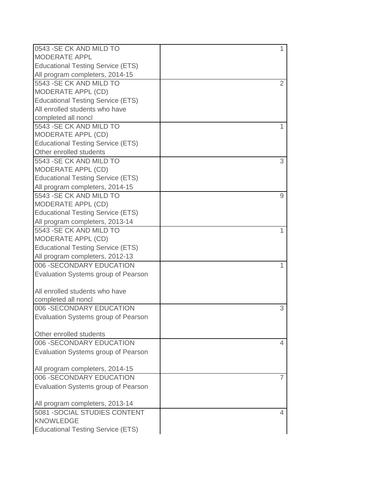| 0543 - SE CK AND MILD TO                 | $\mathbf{1}$ |
|------------------------------------------|--------------|
| <b>MODERATE APPL</b>                     |              |
| <b>Educational Testing Service (ETS)</b> |              |
| All program completers, 2014-15          |              |
| 5543 - SE CK AND MILD TO                 | 2            |
| MODERATE APPL (CD)                       |              |
| <b>Educational Testing Service (ETS)</b> |              |
| All enrolled students who have           |              |
| completed all noncl                      |              |
| 5543 - SE CK AND MILD TO                 | 1            |
| MODERATE APPL (CD)                       |              |
| <b>Educational Testing Service (ETS)</b> |              |
| Other enrolled students                  |              |
| 5543 - SE CK AND MILD TO                 | 3            |
| MODERATE APPL (CD)                       |              |
| <b>Educational Testing Service (ETS)</b> |              |
| All program completers, 2014-15          |              |
| 5543 - SE CK AND MILD TO                 | 9            |
| MODERATE APPL (CD)                       |              |
| <b>Educational Testing Service (ETS)</b> |              |
| All program completers, 2013-14          |              |
| 5543 - SE CK AND MILD TO                 |              |
| MODERATE APPL (CD)                       |              |
| <b>Educational Testing Service (ETS)</b> |              |
| All program completers, 2012-13          |              |
| 006 - SECONDARY EDUCATION                |              |
| Evaluation Systems group of Pearson      |              |
|                                          |              |
| All enrolled students who have           |              |
| completed all noncl                      |              |
| 006 - SECONDARY EDUCATION                | 3            |
| Evaluation Systems group of Pearson      |              |
|                                          |              |
| Other enrolled students                  |              |
| 006 - SECONDARY EDUCATION                | 4            |
| Evaluation Systems group of Pearson      |              |
|                                          |              |
| All program completers, 2014-15          |              |
| 006 - SECONDARY EDUCATION                | 7            |
| Evaluation Systems group of Pearson      |              |
|                                          |              |
| All program completers, 2013-14          |              |
| 5081 - SOCIAL STUDIES CONTENT            | 4            |
| <b>KNOWLEDGE</b>                         |              |
| <b>Educational Testing Service (ETS)</b> |              |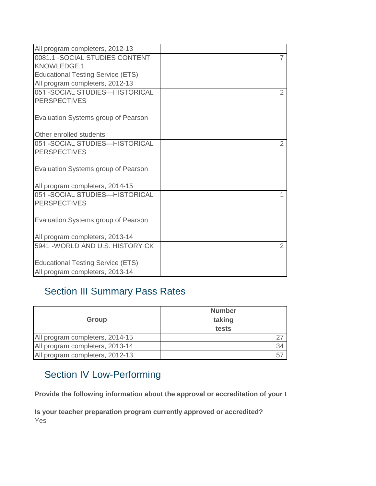| All program completers, 2012-13          |               |
|------------------------------------------|---------------|
| 0081.1 - SOCIAL STUDIES CONTENT          | 7             |
| KNOWLEDGE.1                              |               |
| <b>Educational Testing Service (ETS)</b> |               |
| All program completers, 2012-13          |               |
| 051 - SOCIAL STUDIES-HISTORICAL          | $\mathcal{P}$ |
| <b>PERSPECTIVES</b>                      |               |
|                                          |               |
| Evaluation Systems group of Pearson      |               |
|                                          |               |
| Other enrolled students                  |               |
| 051 - SOCIAL STUDIES-HISTORICAL          | 2             |
| <b>PERSPECTIVES</b>                      |               |
|                                          |               |
| Evaluation Systems group of Pearson      |               |
|                                          |               |
| All program completers, 2014-15          |               |
| 051 - SOCIAL STUDIES-HISTORICAL          |               |
| <b>PERSPECTIVES</b>                      |               |
|                                          |               |
| Evaluation Systems group of Pearson      |               |
|                                          |               |
| All program completers, 2013-14          |               |
| 5941 - WORLD AND U.S. HISTORY CK         | $\mathcal{P}$ |
|                                          |               |
| <b>Educational Testing Service (ETS)</b> |               |
| All program completers, 2013-14          |               |

# Section III Summary Pass Rates

| Group                           | <b>Number</b><br>taking<br>tests |
|---------------------------------|----------------------------------|
| All program completers, 2014-15 |                                  |
| All program completers, 2013-14 | 34                               |
| All program completers, 2012-13 | 57                               |

# Section IV Low-Performing

Provide the following information about the approval or accreditation of your teacher preparation preparation pr

**Is your teacher preparation program currently approved or accredited?** Yes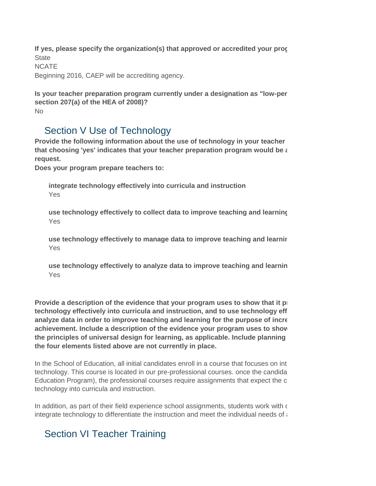**If yes, please specify the organization(s) that approved or accredited your program: State NCATE** Beginning 2016, CAEP will be accrediting agency.

```
No
Is your teacher preparation program currently under a designation as "low-per
section 207(a) of the HEA of 2008)?
```
#### Section V Use of Technology

Provide the following information about the use of technology in your teacher that choosing 'yes' indicates that your teacher preparation program would be a **request.**

**Does your program prepare teachers to:**

**integrate technology effectively into curricula and instruction** Yes

**use technology effectively to collect data to improve teaching and learning** Yes

**use technology effectively to manage data to improve teaching and learning** Yes

**use technology effectively to analyze data to improve teaching and learning** Yes

**Provide a description of the evidence that your program uses to show that it p** technology effectively into curricula and instruction, and to use technology eff analyze data in order to improve teaching and learning for the purpose of increa achievement. Include a description of the evidence your program uses to show the principles of universal design for learning, as applicable. Include planning **the four elements listed above are not currently in place.**

In the School of Education, all initial candidates enroll in a course that focuses on int technology. This course is located in our pre-professional courses, once the candida Education Program), the professional courses require assignments that expect the c technology into curricula and instruction.

In addition, as part of their field experience school assignments, students work with  $\epsilon$ integrate technology to differentiate the instruction and meet the individual needs of  $\epsilon$ 

## Section VI Teacher Training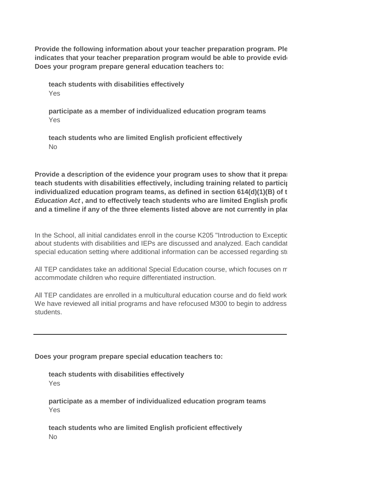**Does your program prepare general education teachers to: Provide the following information about your teacher preparation program. Ple** indicates that your teacher preparation program would be able to provide evide

**teach students with disabilities effectively** Yes

**participate as a member of individualized education program teams** Yes

**teach students who are limited English proficient effectively** No

**Provide a description of the evidence your program uses to show that it prepally** teach students with disabilities effectively, including training related to participation **individualized education program teams, as defined in section 614(d)(1)(B) of the** *Individuals with Disabilities Education Act*, and to effectively teach students who are limited English profice **and a timeline if any of the three elements listed above are not currently in place.**

In the School, all initial candidates enroll in the course K205 "Introduction to Exceptic about students with disabilities and IEPs are discussed and analyzed. Each candidat special education setting where additional information can be accessed regarding students with disabilities and their IEPs.

All TEP candidates take an additional Special Education course, which focuses on m accommodate children who require differentiated instruction.

All TEP candidates are enrolled in a multicultural education course and do field work We have reviewed all initial programs and have refocused M300 to begin to address students.

**Does your program prepare special education teachers to:**

**teach students with disabilities effectively** Yes

**participate as a member of individualized education program teams** Yes

**teach students who are limited English proficient effectively** No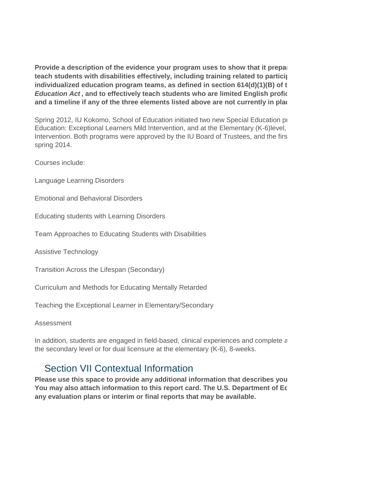Provide a description of the evidence your program uses to show that it prepal teach students with disabilities effectively, including training related to partici<sub>l</sub> **individualized education program teams, as defined in section 614(d)(1)(B) of the** *Individuals with Disabilities Education Act*, and to effectively teach students who are limited English profice **and a timeline if any of the three elements listed above are not currently in place.**

Spring 2012, IU Kokomo, School of Education initiated two new Special Education programs. Education: Exceptional Learners Mild Intervention, and at the Elementary (K-6)level, Intervention. Both programs were approved by the IU Board of Trustees, and the firs spring 2014.

Courses include:

Language Learning Disorders

Emotional and Behavioral Disorders

Educating students with Learning Disorders

Team Approaches to Educating Students with Disabilities

Assistive Technology

Transition Across the Lifespan (Secondary)

Curriculum and Methods for Educating Mentally Retarded

Teaching the Exceptional Learner in Elementary/Secondary

Assessment

In addition, students are engaged in field-based, clinical experiences and complete a the secondary level or for dual licensure at the elementary (K-6), 8-weeks.

#### Section VII Contextual Information

Please use this space to provide any additional information that describes you You may also attach information to this report card. The U.S. Department of Ec **any evaluation plans or interim or final reports that may be available.**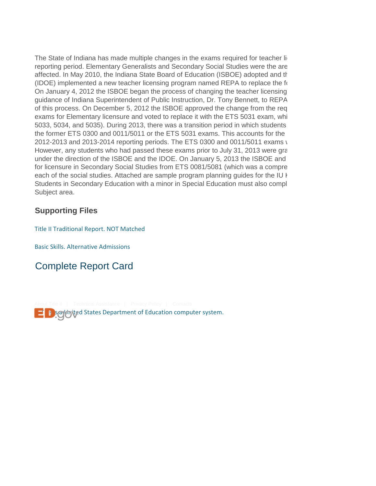The State of Indiana has made multiple changes in the exams required for teacher li reporting period. Elementary Generalists and Secondary Social Studies were the are affected. In May 2010, the Indiana State Board of Education (ISBOE) adopted and the (IDOE) implemented a new teacher licensing program named REPA to replace the  $f(x)$ On January 4, 2012 the ISBOE began the process of changing the teacher licensing guidance of Indiana Superintendent of Public Instruction, Dr. Tony Bennett, to REPA of this process. On December 5, 2012 the ISBOE approved the change from the req exams for Elementary licensure and voted to replace it with the ETS 5031 exam, whi 5033, 5034, and 5035). During 2013, there was a transition period in which students the former ETS 0300 and 0011/5011 or the ETS 5031 exams. This accounts for the 2012-2013 and 2013-2014 reporting periods. The ETS 0300 and 0011/5011 exams v However, any students who had passed these exams prior to July 31, 2013 were grandfathered in Formultical in Formultical in formultical in formultical in formultical in formultical in formultical in formultical in formulti under the direction of the ISBOE and the IDOE. On January 5, 2013 the ISBOE and for licensure in Secondary Social Studies from ETS 0081/5081 (which was a compre each of the social studies. Attached are sample program planning guides for the IU k Students in Secondary Education with a minor in Special Education must also compl Subject area.

#### **Supporting Files**

[Title II Traditional Report. NOT Matched](https://title2.ed.gov/Public/SupportDocs/18_1337/2016/TITLE II Traditional Report.  2014.2015 Not Matched.docx) 

[Basic Skills. Alternative Admissions](https://title2.ed.gov/Public/SupportDocs/18_1337/2016/Basic Skills-Alternative Admissions Numbers By IHE Institution 2014-2015 (1).xlsx)

# Complete Report Card

**This is a United States Department of Education computer system.**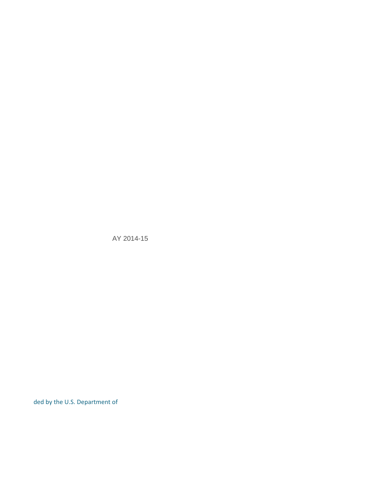AY 2014-15

ded by the U.S. Department of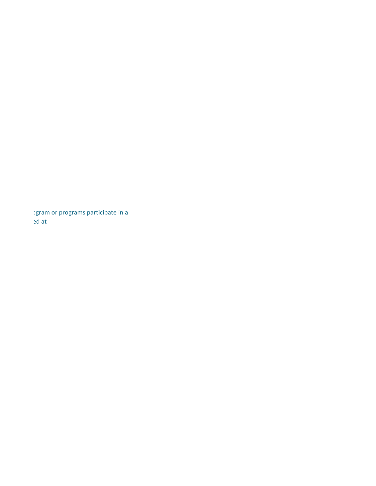bgram or programs participate in a Teacher Quality Partnership Grant and articles are U.S. Department of T.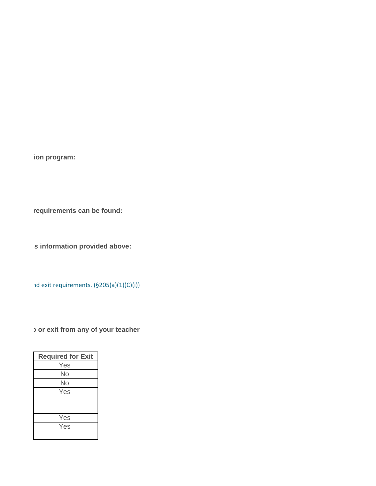**Ion program:** 

requirements can be found:

**IS information provided above:** 

nd exit requirements. (§205(a)(1)(C)(i))

**D** or exit from any of your teacher

| <b>Required for Exit</b> |
|--------------------------|
| Yes                      |
| No                       |
| No                       |
| Yes                      |
|                          |
|                          |
| Yes                      |
| Yes                      |
|                          |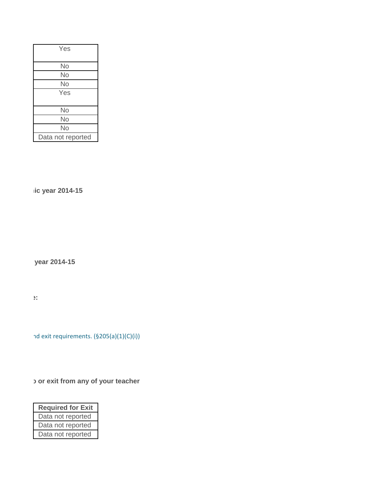| Yes               |
|-------------------|
|                   |
| No                |
| No                |
| No                |
| Yes               |
|                   |
| No                |
| No                |
| No                |
| Data not reported |

**Wic year 2014-15** 

**year 2014-15** 

**Please provide any additional comments about the information provided above:**

nd exit requirements. (§205(a)(1)(C)(i))

**If your exit from any of your teacher** 

| <b>Required for Exit</b> |  |  |  |
|--------------------------|--|--|--|
| Data not reported        |  |  |  |
| Data not reported        |  |  |  |
| Data not reported        |  |  |  |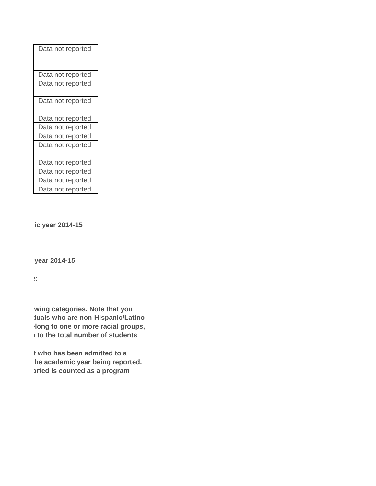| Data not reported |
|-------------------|
| Data not reported |
| Data not reported |
| Data not reported |
| Data not reported |
| Data not reported |
| Data not reported |
| Data not reported |
| Data not reported |
| Data not reported |
| Data not reported |
| Data not reported |

**Iic year 2014-15** 

**year 2014-15** 

**Please provide any additional comments about the information provided above:**

**Wing categories. Note that you huals who are non-Hispanic/Latino When the categories in one or more racial groups, s** to the total number of students

**t who has been admitted to a** the academic year being reported. **brted is counted as a program**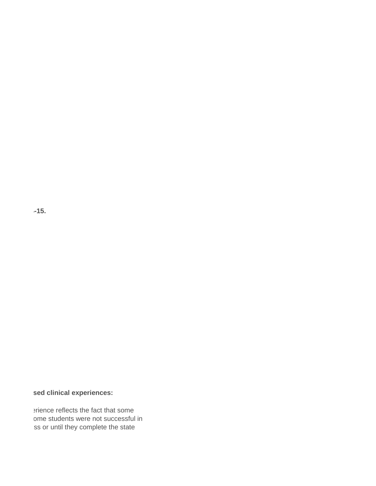**Provide the following information about supervised clinical experience in 2014-15.**

#### **sed clinical experiences:**

erience reflects the fact that some ome students were not successful in ss or until they complete the state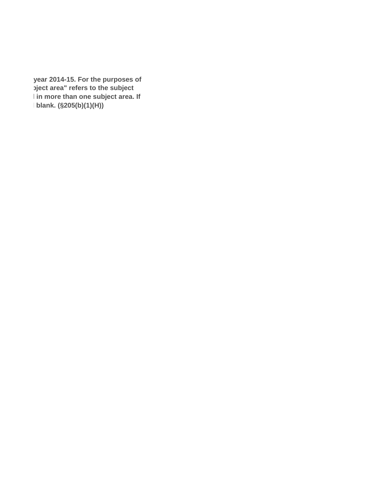year 2014-15. For the purposes of **bigct area" refers to the subject area area(s) an individual has been prepared to teach. An individual can be counted in more than one subject area. If blank. (§205(b)(1)(H))**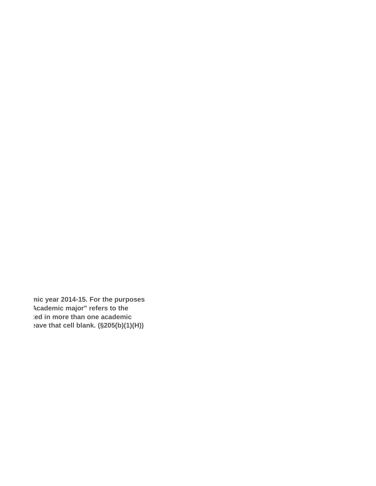**nic year 2014-15. For the purposes Academic major" refers to the** ted in more than one academic **ave that cell blank. (§205(b)(1)(H))**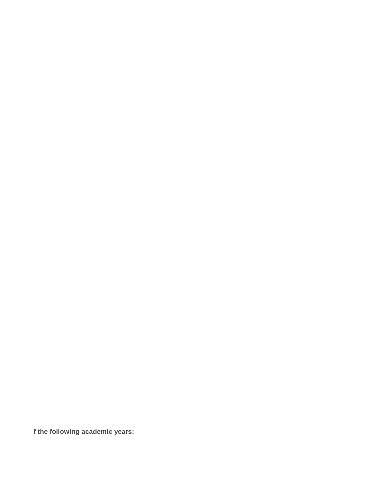**f the following academic years:**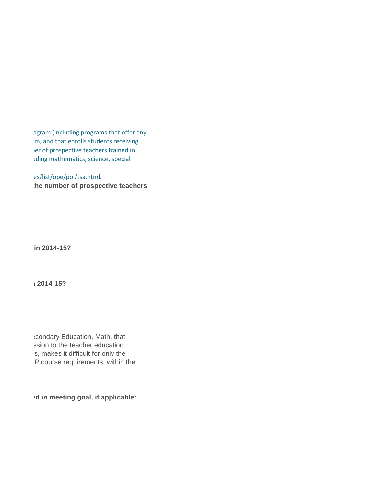ogram (including programs that offer any im, and that enrolls students receiving er of prospective teachers trained in tding mathematics, science, special

es/list/ope/pol/tsa.html. **the number of prospective teachers** 

 $\mathbf{h}$  in 2014-15?

 $\sim$  2014-15?

e condary Education, Math, that ssion to the teacher education `s, makes it difficult for only the :P course requirements, within the

**ed in meeting goal, if applicable:**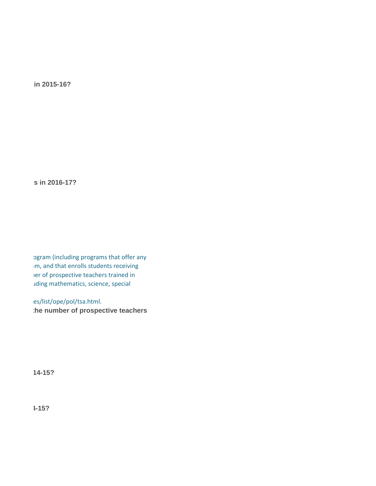**in 2015-16?** 

**s** in 2016-17?

ogram (including programs that offer any im, and that enrolls students receiving er of prospective teachers trained in teacher shortage areas designated by the state state including mathematics, science, special

es/list/ope/pol/tsa.html. the number of prospective teachers

 $14-15?$ 

**Did your program meet the goal for prospective teachers set in science in 2014-15?**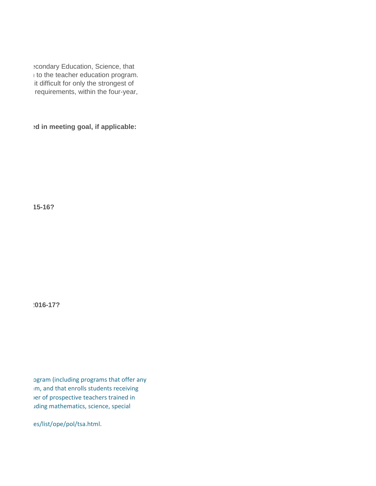e condary Education, Science, that i to the teacher education program. it difficult for only the strongest of requirements, within the four-year,

**ed in meeting goal, if applicable:** 

 $15 - 16?$ 

**How many prospective teachers does your program plan to add in science in 2016-17?**

ogram (including programs that offer any im, and that enrolls students receiving er of prospective teachers trained in teacher shortage areas departed by the state including mathematics, science, special

es/list/ope/pol/tsa.html.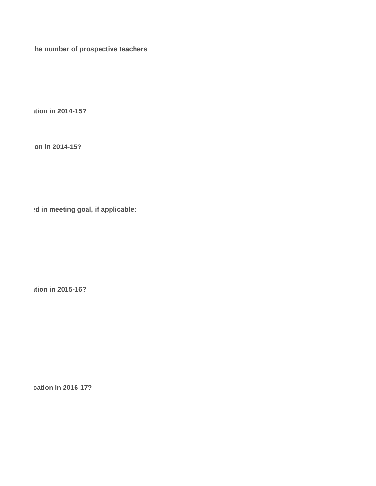the number of prospective teachers

**How in 2014-15?** 

**ion in 2014-15?** 

**ed in meeting goal, if applicable:** 

**How in 2015-16?** 

**Cation in 2016-17?**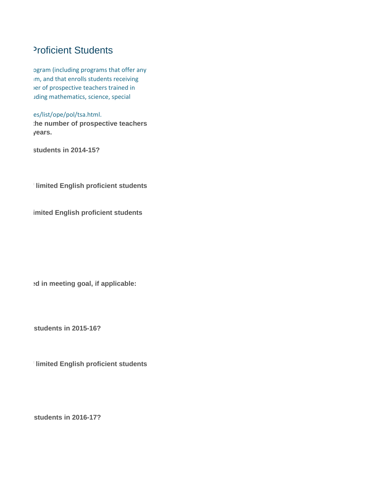## Proficient Students

ogram (including programs that offer any im, and that enrolls students receiving er of prospective teachers trained in tding mathematics, science, special

es/list/ope/pol/tsa.html. the number of prospective teachers **induction in the students.** 

**Students in 2014-15?** 

**Himited English proficient students** 

**imited English proficient students** 

**ed in meeting goal, if applicable:** 

**Istudents in 2015-16?** 

**Himited English proficient students** 

**Students in 2016-17?**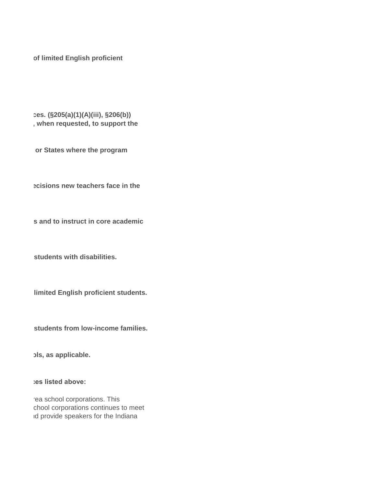of limited English proficient

#### **res.** (§205(a)(1)(A)(iii), §206(b)) , when requested, to support the

**Prepared identified in States where the program** 

**Prepared is closely reparate in the netwitted beam instructions new teachers face in the** 

**s and to instruct in core academic s** 

**Students with disabilities.** 

**Inited English proficient students.** 

**Students from low-income families.** 

**pls, as applicable.** 

bes listed above:

rea school corporations. This chool corporations continues to meet id provide speakers for the Indiana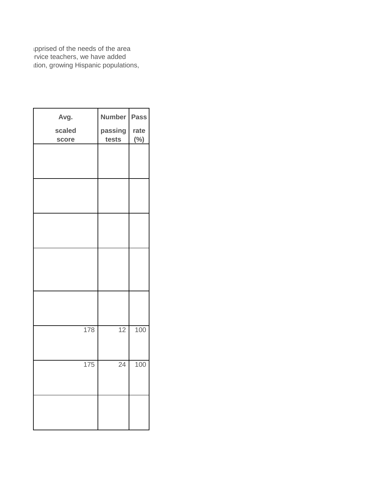ipprised of the needs of the area it is neederducational community. The needs of our control of the needs of  $\overline{\phantom{a}}$ ition, growing Hispanic populations,

| Avg.   | <b>Number</b> | <b>Pass</b> |
|--------|---------------|-------------|
| scaled | passing       | rate        |
| score  | tests         | $(\%)$      |
|        |               |             |
|        |               |             |
|        |               |             |
|        |               |             |
|        |               |             |
|        |               |             |
|        |               |             |
|        |               |             |
|        |               |             |
|        |               |             |
|        |               |             |
|        |               |             |
|        |               |             |
|        |               |             |
|        |               |             |
|        |               |             |
|        |               |             |
|        |               |             |
|        |               |             |
| 178    | 12            | 100         |
|        |               |             |
|        |               |             |
| 175    | 24            | 100         |
|        |               |             |
|        |               |             |
|        |               |             |
|        |               |             |
|        |               |             |
|        |               |             |
|        |               |             |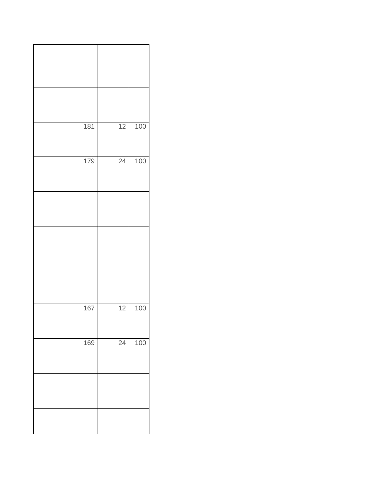| 181 | 12              | 100 |
|-----|-----------------|-----|
| 179 | 24              | 100 |
|     |                 |     |
|     |                 |     |
|     |                 |     |
| 167 | $\overline{12}$ | 100 |
| 169 | 24              | 100 |
|     |                 |     |
|     |                 |     |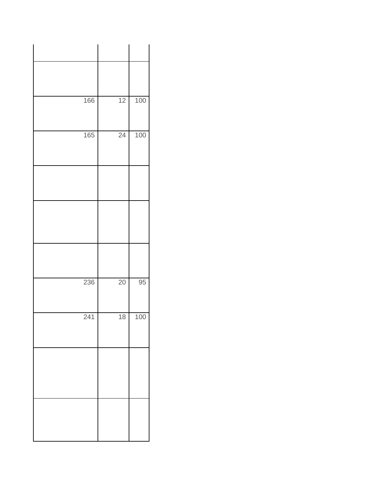|     | 166 | 12 | 100 |  |
|-----|-----|----|-----|--|
|     | 165 | 24 | 100 |  |
|     |     |    |     |  |
|     |     |    |     |  |
|     |     |    |     |  |
|     |     |    |     |  |
|     | 236 | 20 | 95  |  |
| 241 |     | 18 | 100 |  |
|     |     |    |     |  |
|     |     |    |     |  |
|     |     |    |     |  |
|     |     |    |     |  |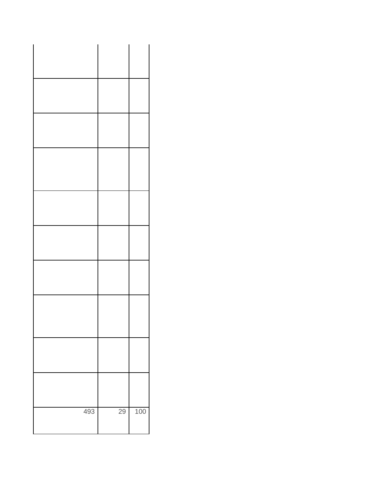| 493 | 29 | 100 |
|-----|----|-----|
|     |    |     |
|     |    |     |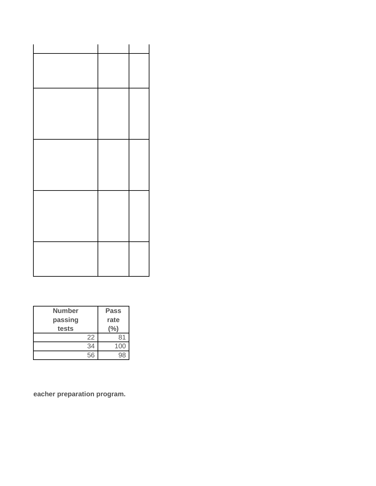| <b>Number</b><br>passing<br>tests | <b>Pass</b><br>rate<br>℅ |
|-----------------------------------|--------------------------|
| 22                                | 81                       |
| 34                                | 100                      |
| 56                                | Q۶                       |

eacher preparation program.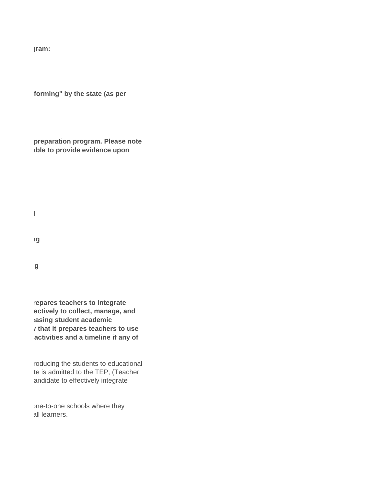**If yes, please specify the original specify the original specify the original specify that approximal specify the original specify that approximal specify the original specify that approximal specify the specify that \mathbf** 

**forming" by the state (as per** 

**preparation program. Please note able to provide evidence upon** 

**use technology effectively to collect data to improve teaching and learning**

**use technology effectively to manage data to improve teaching and learning**

**use technology effectively to analyze data to improve teaching and learning**

repares teachers to integrate **tectively to collect, manage, and asing student academic imports** *v* **that it prepares teachers to use** activities and a timeline if any of

roducing the students to educational te is admitted to the TEP, (Teacher andidate to effectively integrate

ine-to-one schools where they all learners.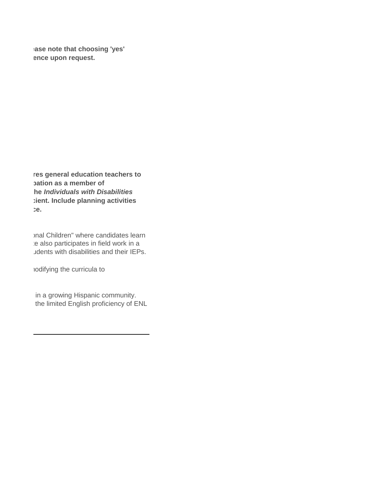**Pase note that choosing 'yes' ince upon request.** 

res general education teachers to **teach is a member of he Individuals with Disabilities**  $\ddot{}$  ient. Include planning activities **and a timeline if any of the three elements listed above are not currently in place.**

> Inal Children" where candidates learn te also participates in field work in a udents with disabilities and their IEPs.

hodifying the curricula to

in a growing Hispanic community. the limited English proficiency of ENL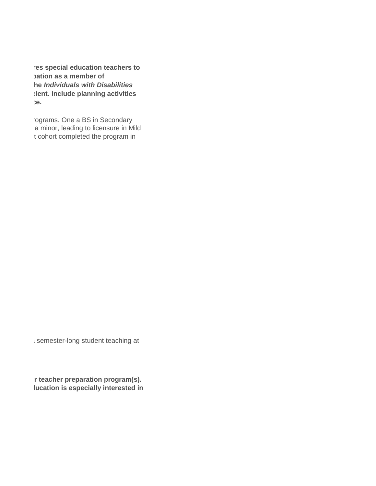res special education teachers to **teach is a member of he Individuals with Disabilities**  $i$  ient. Include planning activities a timeline is a timeline if any of the three elements in place.

> rograms. One a BS in Secondary a minor, leading to licensure in Mild t cohort completed the program in

I semester-long student teaching at

**Preacher preparation program(s). Iucation is especially interested in**